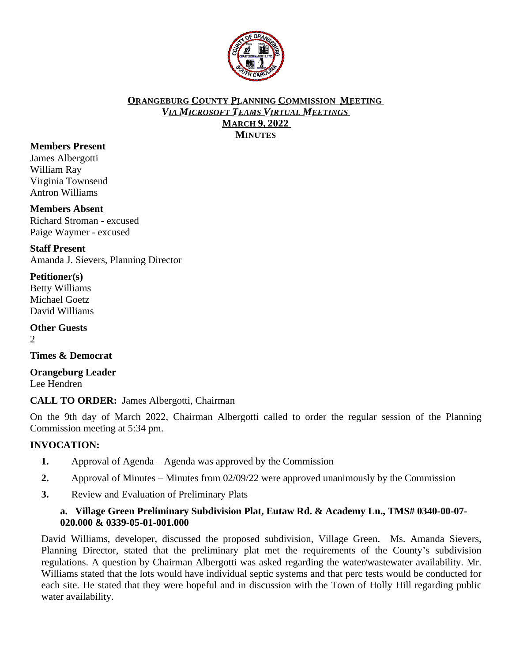

#### **ORANGEBURG COUNTY PLANNING COMMISSION MEETING** *VIA MICROSOFT TEAMS VIRTUAL MEETINGS* **MARCH 9, 2022 MINUTES**

## **Members Present**

James Albergotti William Ray Virginia Townsend Antron Williams

## **Members Absent**

Richard Stroman - excused Paige Waymer - excused

**Staff Present** Amanda J. Sievers, Planning Director

## **Petitioner(s)**

Betty Williams Michael Goetz David Williams

**Other Guests**  $\mathcal{L}$ 

**Times & Democrat**

**Orangeburg Leader** Lee Hendren

**CALL TO ORDER:** James Albergotti, Chairman

On the 9th day of March 2022, Chairman Albergotti called to order the regular session of the Planning Commission meeting at 5:34 pm.

## **INVOCATION:**

- **1.** Approval of Agenda Agenda was approved by the Commission
- **2.** Approval of Minutes Minutes from 02/09/22 were approved unanimously by the Commission
- **3.** Review and Evaluation of Preliminary Plats

## **a. Village Green Preliminary Subdivision Plat, Eutaw Rd. & Academy Ln., TMS# 0340-00-07- 020.000 & 0339-05-01-001.000**

David Williams, developer, discussed the proposed subdivision, Village Green. Ms. Amanda Sievers, Planning Director, stated that the preliminary plat met the requirements of the County's subdivision regulations. A question by Chairman Albergotti was asked regarding the water/wastewater availability. Mr. Williams stated that the lots would have individual septic systems and that perc tests would be conducted for each site. He stated that they were hopeful and in discussion with the Town of Holly Hill regarding public water availability.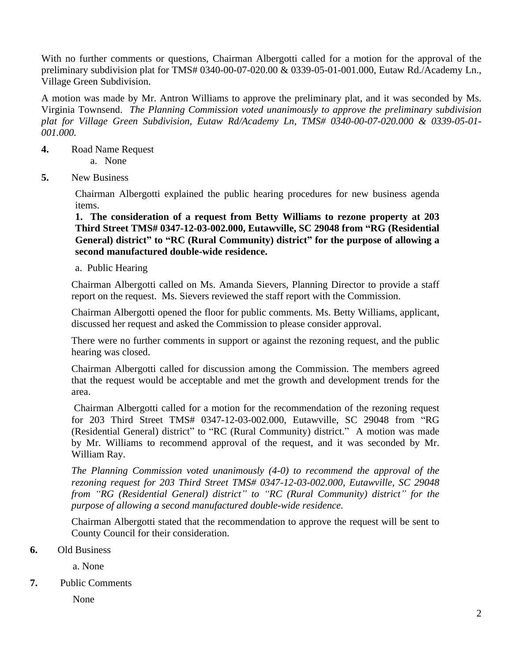With no further comments or questions, Chairman Albergotti called for a motion for the approval of the preliminary subdivision plat for TMS# 0340-00-07-020.00 & 0339-05-01-001.000, Eutaw Rd./Academy Ln., Village Green Subdivision.

A motion was made by Mr. Antron Williams to approve the preliminary plat, and it was seconded by Ms. Virginia Townsend. *The Planning Commission voted unanimously to approve the preliminary subdivision plat for Village Green Subdivision, Eutaw Rd/Academy Ln, TMS# 0340-00-07-020.000 & 0339-05-01- 001.000.*

- **4.** Road Name Request a. None
- **5.** New Business

Chairman Albergotti explained the public hearing procedures for new business agenda items.

**1. The consideration of a request from Betty Williams to rezone property at 203 Third Street TMS# 0347-12-03-002.000, Eutawville, SC 29048 from "RG (Residential General) district" to "RC (Rural Community) district" for the purpose of allowing a second manufactured double-wide residence.**

a. Public Hearing

Chairman Albergotti called on Ms. Amanda Sievers, Planning Director to provide a staff report on the request. Ms. Sievers reviewed the staff report with the Commission.

Chairman Albergotti opened the floor for public comments. Ms. Betty Williams, applicant, discussed her request and asked the Commission to please consider approval.

There were no further comments in support or against the rezoning request, and the public hearing was closed.

Chairman Albergotti called for discussion among the Commission. The members agreed that the request would be acceptable and met the growth and development trends for the area.

Chairman Albergotti called for a motion for the recommendation of the rezoning request for 203 Third Street TMS# 0347-12-03-002.000, Eutawville, SC 29048 from "RG (Residential General) district" to "RC (Rural Community) district." A motion was made by Mr. Williams to recommend approval of the request, and it was seconded by Mr. William Ray.

*The Planning Commission voted unanimously (4-0) to recommend the approval of the rezoning request for 203 Third Street TMS# 0347-12-03-002.000, Eutawville, SC 29048 from "RG (Residential General) district" to "RC (Rural Community) district" for the purpose of allowing a second manufactured double-wide residence.*

Chairman Albergotti stated that the recommendation to approve the request will be sent to County Council for their consideration.

## **6.** Old Business

a. None

**7.** Public Comments

None